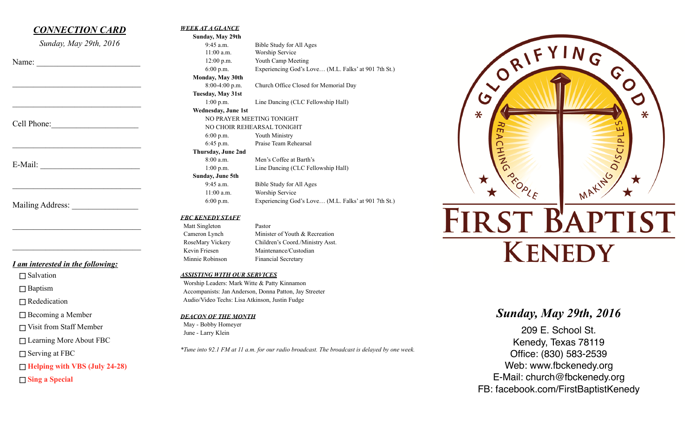## *CONNECTION CARD*

*Sunday, May 29th, 2016* 

 $\mathcal{L}_\text{max}$ 

 $\mathcal{L}_\text{max}$  , where  $\mathcal{L}_\text{max}$  and  $\mathcal{L}_\text{max}$  and  $\mathcal{L}_\text{max}$ 

 $\mathcal{L}_\text{max}$  , where  $\mathcal{L}_\text{max}$  and  $\mathcal{L}_\text{max}$ 

 $\mathcal{L}_\text{max}$ 

 $\mathcal{L}_\text{max}$  , where  $\mathcal{L}_\text{max}$  and  $\mathcal{L}_\text{max}$  and  $\mathcal{L}_\text{max}$ 

 $\mathcal{L}_\text{max}$  , where  $\mathcal{L}_\text{max}$  and  $\mathcal{L}_\text{max}$  and  $\mathcal{L}_\text{max}$ 

Name:

Cell Phone:

E-Mail: \_\_\_\_\_\_\_\_\_\_\_\_\_\_\_\_\_\_\_\_\_\_\_\_

Mailing Address:

## *I am interested in the following:*

 $\Box$  Salvation

□ Baptism

□ Rededication

 $\Box$  Becoming a Member

Visit from Staff Member

□ Learning More About FBC

 $\Box$  Serving at FBC

**Helping with VBS (July 24-28)** 

**Sing a Special** 

#### *WEEK AT A GLANCE*

**Sunday, May 29th**  9:45 a.m. Bible Study for All Ages 11:00 a.m. Worship Service 12:00 p.m. Youth Camp Meeting 6:00 p.m. Experiencing God's Love… (M.L. Falks' at 901 7th St.) **Monday, May 30th** 8:00-4:00 p.m. Church Office Closed for Memorial Day **Tuesday, May 31st** 1:00 p.m. Line Dancing (CLC Fellowship Hall) **Wednesday, June 1st** NO PRAYER MEETING TONIGHT NO CHOIR REHEARSAL TONIGHT 6:00 p.m. Youth Ministry 6:45 p.m. Praise Team Rehearsal **Thursday, June 2nd** 8:00 a.m. Men's Coffee at Barth's 1:00 p.m. Line Dancing (CLC Fellowship Hall) **Sunday, June 5th**  9:45 a.m. Bible Study for All Ages

 11:00 a.m. Worship Service 6:00 p.m. Experiencing God's Love… (M.L. Falks' at 901 7th St.)

#### *FBC KENEDY STAFF*

Matt Singleton Pastor

Cameron Lynch Minister of Youth & Recreation RoseMary Vickery Children's Coord./Ministry Asst. Kevin Friesen Maintenance/Custodian Minnie Robinson Financial Secretary

#### *ASSISTING WITH OUR SERVICES*

 Worship Leaders: Mark Witte & Patty Kinnamon Accompanists: Jan Anderson, Donna Patton, Jay Streeter Audio/Video Techs: Lisa Atkinson, Justin Fudge

*DEACON OF THE MONTH*

 May - Bobby Homeyer June - Larry Klein

*\*Tune into 92.1 FM at 11 a.m. for our radio broadcast. The broadcast is delayed by one week.*

# ORIFYING G  $\mathbf\Omega$  $\overline{G}$  $\bullet$  $\ast$ ⋇ س MAKING OISCIPL  $\frac{1}{2}$ **FIRST BAPTIST KENEDY**

## *Sunday, May 29th, 2016*

209 E. School St. Kenedy, Texas 78119 Office: (830) 583-2539 Web: www.fbckenedy.org E-Mail: church@fbckenedy.org FB: facebook.com/FirstBaptistKenedy